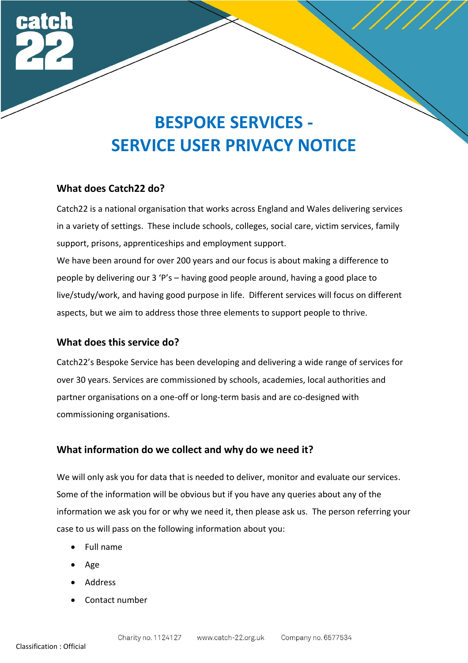

### **What does Catch22 do?**

Catch22 is a national organisation that works across England and Wales delivering services in a variety of settings. These include schools, colleges, social care, victim services, family support, prisons, apprenticeships and employment support.

We have been around for over 200 years and our focus is about making a difference to people by delivering our 3 'P's – having good people around, having a good place to live/study/work, and having good purpose in life. Different services will focus on different aspects, but we aim to address those three elements to support people to thrive.

### **What does this service do?**

Catch22's Bespoke Service has been developing and delivering a wide range of services for over 30 years. Services are commissioned by schools, academies, local authorities and partner organisations on a one-off or long-term basis and are co-designed with commissioning organisations.

### **What information do we collect and why do we need it?**

We will only ask you for data that is needed to deliver, monitor and evaluate our services. Some of the information will be obvious but if you have any queries about any of the information we ask you for or why we need it, then please ask us. The person referring your case to us will pass on the following information about you:

- Full name
- Age
- Address
- Contact number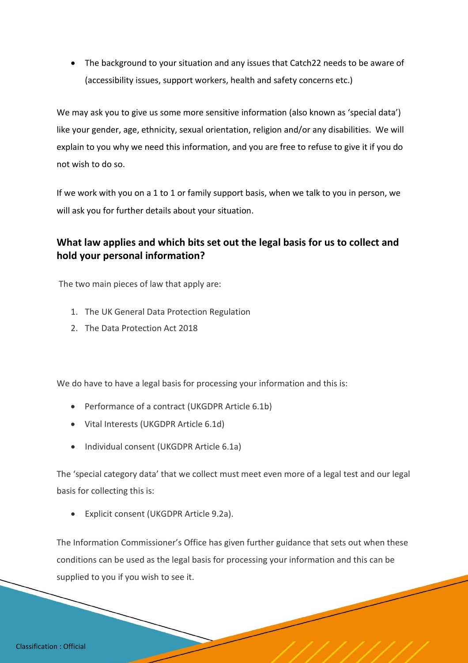• The background to your situation and any issues that Catch22 needs to be aware of (accessibility issues, support workers, health and safety concerns etc.)

We may ask you to give us some more sensitive information (also known as 'special data') like your gender, age, ethnicity, sexual orientation, religion and/or any disabilities. We will explain to you why we need this information, and you are free to refuse to give it if you do not wish to do so.

If we work with you on a 1 to 1 or family support basis, when we talk to you in person, we will ask you for further details about your situation.

# **What law applies and which bits set out the legal basis for us to collect and hold your personal information?**

The two main pieces of law that apply are:

- 1. The UK General Data Protection Regulation
- 2. The Data Protection Act 2018

We do have to have a legal basis for processing your information and this is:

- Performance of a contract (UKGDPR Article 6.1b)
- Vital Interests (UKGDPR Article 6.1d)
- Individual consent (UKGDPR Article 6.1a)

The 'special category data' that we collect must meet even more of a legal test and our legal basis for collecting this is:

• Explicit consent (UKGDPR Article 9.2a).

The Information Commissioner's Office has given further guidance that sets out when these conditions can be used as the legal basis for processing your information and this can be supplied to you if you wish to see it.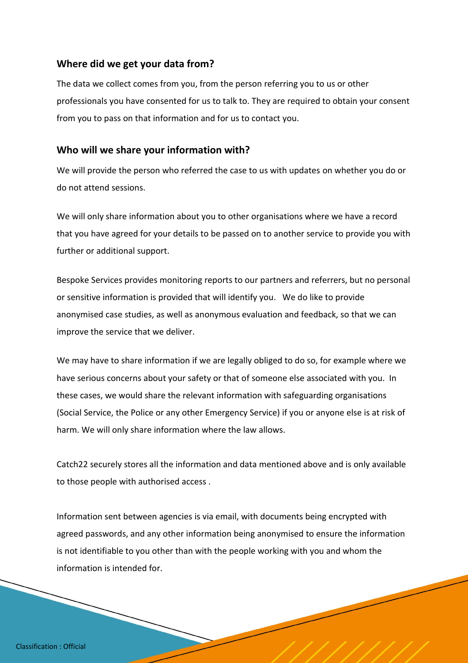## **Where did we get your data from?**

The data we collect comes from you, from the person referring you to us or other professionals you have consented for us to talk to. They are required to obtain your consent from you to pass on that information and for us to contact you.

### **Who will we share your information with?**

We will provide the person who referred the case to us with updates on whether you do or do not attend sessions.

We will only share information about you to other organisations where we have a record that you have agreed for your details to be passed on to another service to provide you with further or additional support.

Bespoke Services provides monitoring reports to our partners and referrers, but no personal or sensitive information is provided that will identify you. We do like to provide anonymised case studies, as well as anonymous evaluation and feedback, so that we can improve the service that we deliver.

We may have to share information if we are legally obliged to do so, for example where we have serious concerns about your safety or that of someone else associated with you. In these cases, we would share the relevant information with safeguarding organisations (Social Service, the Police or any other Emergency Service) if you or anyone else is at risk of harm. We will only share information where the law allows.

Catch22 securely stores all the information and data mentioned above and is only available to those people with authorised access .

Information sent between agencies is via email, with documents being encrypted with agreed passwords, and any other information being anonymised to ensure the information is not identifiable to you other than with the people working with you and whom the information is intended for.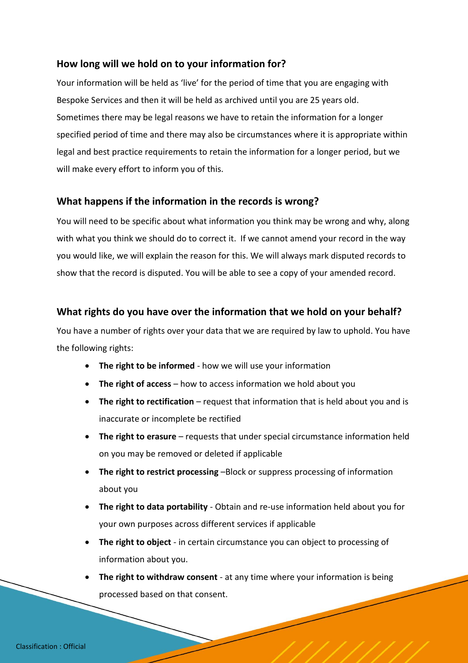## **How long will we hold on to your information for?**

Your information will be held as 'live' for the period of time that you are engaging with Bespoke Services and then it will be held as archived until you are 25 years old. Sometimes there may be legal reasons we have to retain the information for a longer specified period of time and there may also be circumstances where it is appropriate within legal and best practice requirements to retain the information for a longer period, but we will make every effort to inform you of this.

## **What happens if the information in the records is wrong?**

You will need to be specific about what information you think may be wrong and why, along with what you think we should do to correct it. If we cannot amend your record in the way you would like, we will explain the reason for this. We will always mark disputed records to show that the record is disputed. You will be able to see a copy of your amended record.

## **What rights do you have over the information that we hold on your behalf?**

You have a number of rights over your data that we are required by law to uphold. You have the following rights:

- **The right to be informed** how we will use your information
- **The right of access** how to access information we hold about you
- **The right to rectification** request that information that is held about you and is inaccurate or incomplete be rectified
- **The right to erasure** requests that under special circumstance information held on you may be removed or deleted if applicable
- **The right to restrict processing** –Block or suppress processing of information about you
- **The right to data portability** Obtain and re-use information held about you for your own purposes across different services if applicable
- **The right to object** in certain circumstance you can object to processing of information about you.
- **The right to withdraw consent** at any time where your information is being processed based on that consent.